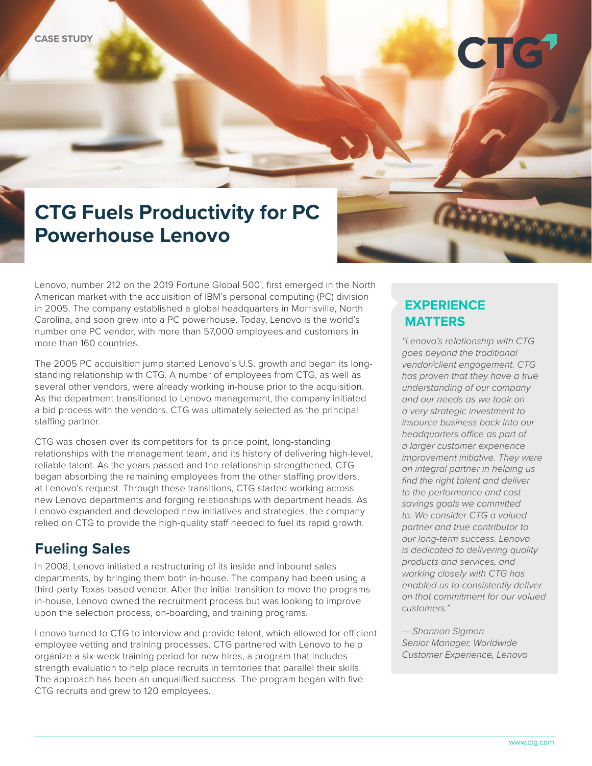# **CTG Fuels Productivity for PC Powerhouse Lenovo**

Lenovo, number 212 on the 2019 Fortune Global 500<sup>1</sup>, first emerged in the North American market with the acquisition of IBM's personal computing (PC) division in 2005. The company established a global headquarters in Morrisville, North Carolina, and soon grew into a PC powerhouse. Today, Lenovo is the world's number one PC vendor, with more than 57,000 employees and customers in more than 160 countries.

The 2005 PC acquisition jump started Lenovo's U.S. growth and began its longstanding relationship with CTG. A number of employees from CTG, as well as several other vendors, were already working in-house prior to the acquisition. As the department transitioned to Lenovo management, the company initiated a bid process with the vendors. CTG was ultimately selected as the principal staffing partner.

CTG was chosen over its competitors for its price point, long-standing relationships with the management team, and its history of delivering high-level, reliable talent. As the years passed and the relationship strengthened, CTG began absorbing the remaining employees from the other staffing providers, at Lenovo's request. Through these transitions, CTG started working across new Lenovo departments and forging relationships with department heads. As Lenovo expanded and developed new initiatives and strategies, the company relied on CTG to provide the high-quality staff needed to fuel its rapid growth.

#### **Fueling Sales**

In 2008, Lenovo initiated a restructuring of its inside and inbound sales departments, by bringing them both in-house. The company had been using a third-party Texas-based vendor. After the initial transition to move the programs in-house, Lenovo owned the recruitment process but was looking to improve upon the selection process, on-boarding, and training programs.

Lenovo turned to CTG to interview and provide talent, which allowed for efficient employee vetting and training processes. CTG partnered with Lenovo to help organize a six-week training period for new hires, a program that includes strength evaluation to help place recruits in territories that parallel their skills. The approach has been an unqualified success. The program began with five CTG recruits and grew to 120 employees.

#### **EXPERIENCE MATTERS**

**CET** 

**TYPY NAM** 

*"Lenovo's relationship with CTG goes beyond the traditional vendor/client engagement. CTG has proven that they have a true understanding of our company and our needs as we took on a very strategic investment to insource business back into our headquarters office as part of a larger customer experience improvement initiative. They were an integral partner in helping us find the right talent and deliver to the performance and cost savings goals we committed to. We consider CTG a valued partner and true contributor to our long-term success. Lenovo is dedicated to delivering quality products and services, and working closely with CTG has enabled us to consistently deliver on that commitment for our valued customers."* 

*— Shannon Sigmon Senior Manager, Worldwide Customer Experience, Lenovo*